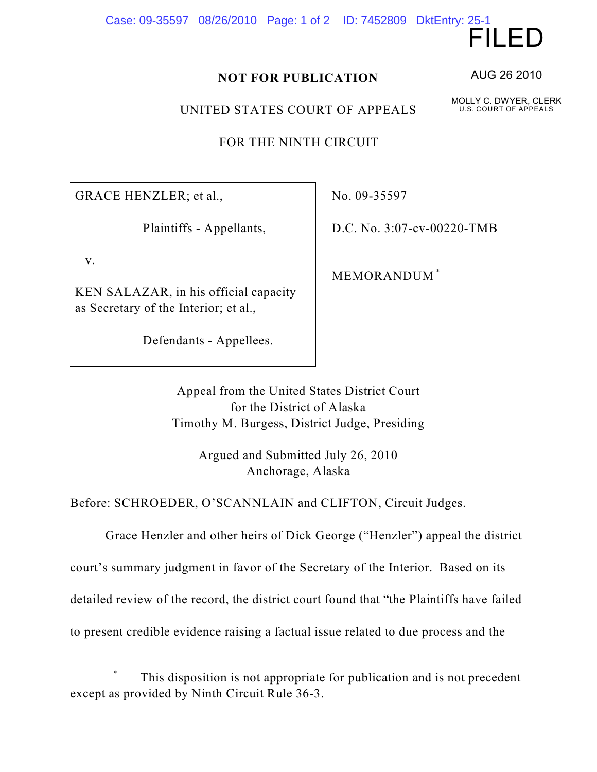Case: 09-35597 08/26/2010 Page: 1 of 2 ID: 7452809 DktEntry: 25-1

## **NOT FOR PUBLICATION**

UNITED STATES COURT OF APPEALS

FOR THE NINTH CIRCUIT

GRACE HENZLER; et al.,

Plaintiffs - Appellants,

v.

KEN SALAZAR, in his official capacity as Secretary of the Interior; et al.,

Defendants - Appellees.

No. 09-35597

D.C. No. 3:07-cv-00220-TMB

MEMORANDUM \*

Appeal from the United States District Court for the District of Alaska Timothy M. Burgess, District Judge, Presiding

> Argued and Submitted July 26, 2010 Anchorage, Alaska

Before: SCHROEDER, O'SCANNLAIN and CLIFTON, Circuit Judges.

Grace Henzler and other heirs of Dick George ("Henzler") appeal the district

court's summary judgment in favor of the Secretary of the Interior. Based on its

detailed review of the record, the district court found that "the Plaintiffs have failed

to present credible evidence raising a factual issue related to due process and the

AUG 26 2010

FILED

MOLLY C. DWYER, CLERK U.S. COURT OF APPEALS

This disposition is not appropriate for publication and is not precedent \* except as provided by Ninth Circuit Rule 36-3.